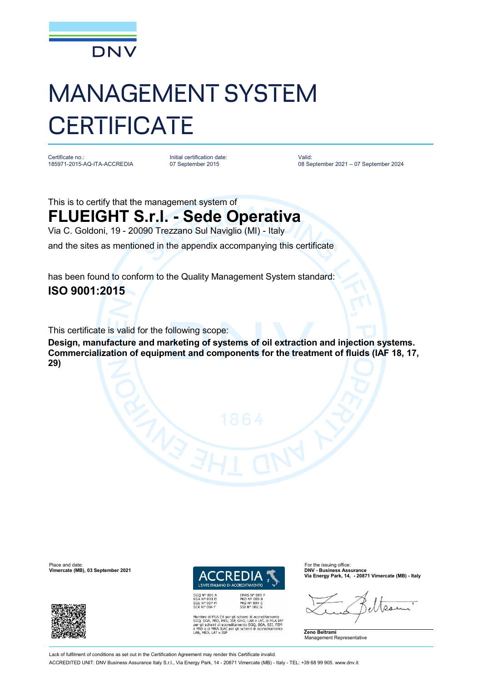

## MANAGEMENT SYSTEM **CERTIFICATE**

Certificate no.: 185971-2015-AQ-ITA-ACCREDIA

Initial certification date: 07 September 2015

Valid: 08 September 2021 – 07 September 2024

This is to certify that the management system of **FLUEIGHT S.r.l. - Sede Operativa** Via C. Goldoni, 19 - 20090 Trezzano Sul Naviglio (MI) - Italy

and the sites as mentioned in the appendix accompanying this certificate

has been found to conform to the Quality Management System standard: **ISO 9001:2015**

This certificate is valid for the following scope:

**Design, manufacture and marketing of systems of oil extraction and injection systems. Commercialization of equipment and components for the treatment of fluids (IAF 18, 17, 29)**

Place and date: For the issuing office:<br> **Place and date:** For the issuing office:<br> **Place and the interval of the issuing office:** For the issuing office:<br> **Place and the interval of the issuing office: Vimercate (MB), 03 September 2021** 



EMAS N° 009<br>PRD N° 003 B<br>PRS N° 094 C<br>SSI N° 002 G

REDITAMENTO

**Via Energy Park, 14, - 20871 Vimercate (MB) - Italy**



SSLIN<sup>-1</sup> UDG<br>
Membro di MLA EA per gli schemi di accreditamento<br>
NGO<sub>2</sub>, SGA, PRD, PRS, ISP, GHG, LAB e LAT, di MLA IAF<br>
per gli schemi di accreditamento SGO<sub>2</sub>, SGA, SSI, FSM<br>
e PRD e di MRA ILAC<br>
LAB, MED, LAT e ISP<br>
LA

*I'ENTE ITALIANO DI ACC* 

Lack of fulfilment of conditions as set out in the Certification Agreement may render this Certificate invalid ACCREDITED UNIT: DNV Business Assurance Italy S.r.l., Via Energy Park, 14 - 20871 Vimercate (MB) - Italy - TEL: +39 68 99 905. [www.dnv.it](http://www.dnv.it)